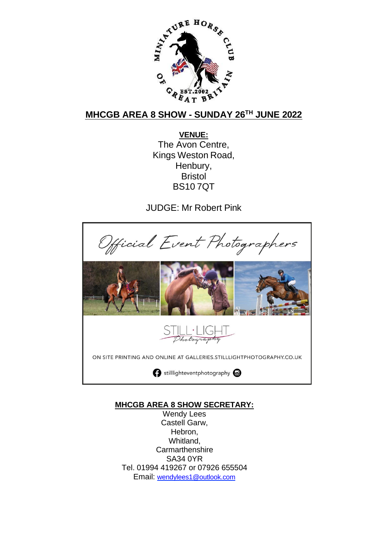

## **MHCGB AREA 8 SHOW - SUNDAY 26TH JUNE 2022**

**VENUE:** The Avon Centre, Kings Weston Road, Henbury, Bristol BS10 7QT

JUDGE: Mr Robert Pink



## **MHCGB AREA 8 SHOW SECRETARY:**

Wendy Lees Castell Garw, Hebron, Whitland, **Carmarthenshire** SA34 0YR Tel. 01994 419267 or 07926 655504 Email: [wendylees1@outlook.com](mailto:wendylees1@outlook.com)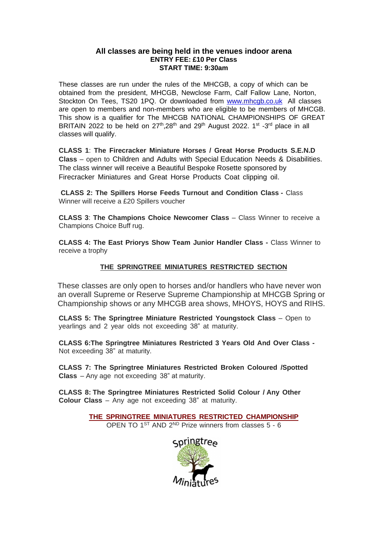#### **All classes are being held in the venues indoor arena ENTRY FEE: £10 Per Class START TIME: 9:30am**

These classes are run under the rules of the MHCGB, a copy of which can be obtained from the president, MHCGB, Newclose Farm, Calf Fallow Lane, Norton, Stockton On Tees, TS20 1PQ. Or downloaded from [www.mhcgb.co.uk](http://www.mhcgb.co.uk/) All classes are open to members and non-members who are eligible to be members of MHCGB. This show is a qualifier for The MHCGB NATIONAL CHAMPIONSHIPS OF GREAT BRITAIN 2022 to be held on  $27<sup>th</sup>$ ,28<sup>th</sup> and 29<sup>th</sup> August 2022. 1<sup>st</sup> -3<sup>rd</sup> place in all classes will qualify.

**CLASS 1**: **The Firecracker Miniature Horses / Great Horse Products S.E.N.D Class** – open to Children and Adults with Special Education Needs & Disabilities. The class winner will receive a Beautiful Bespoke Rosette sponsored by Firecracker Miniatures and Great Horse Products Coat clipping oil.

**CLASS 2: The Spillers Horse Feeds Turnout and Condition Class -** Class Winner will receive a £20 Spillers voucher

**CLASS 3**: **The Champions Choice Newcomer Class** – Class Winner to receive a Champions Choice Buff rug.

**CLASS 4: The East Priorys Show Team Junior Handler Class -** Class Winner to receive a trophy

#### **THE SPRINGTREE MINIATURES RESTRICTED SECTION**

These classes are only open to horses and/or handlers who have never won an overall Supreme or Reserve Supreme Championship at MHCGB Spring or Championship shows or any MHCGB area shows, MHOYS, HOYS and RIHS.

**CLASS 5: The Springtree Miniature Restricted Youngstock Class** – Open to yearlings and 2 year olds not exceeding 38" at maturity.

**CLASS 6:The Springtree Miniatures Restricted 3 Years Old And Over Class -** Not exceeding 38" at maturity.

**CLASS 7: The Springtree Miniatures Restricted Broken Coloured /Spotted Class** – Any age not exceeding 38" at maturity.

**CLASS 8: The Springtree Miniatures Restricted Solid Colour / Any Other Colour Class** – Any age not exceeding 38" at maturity.

> **THE SPRINGTREE MINIATURES RESTRICTED CHAMPIONSHIP** OPEN TO  $1^{ST}$  AND  $2^{ND}$  Prize winners from classes  $5 - 6$

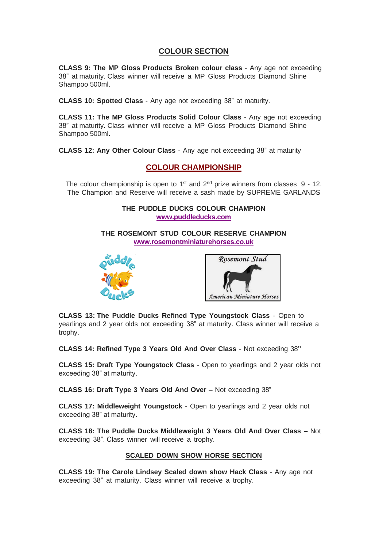## **COLOUR SECTION**

**CLASS 9: The MP Gloss Products Broken colour class** - Any age not exceeding 38" at maturity. Class winner will receive a MP Gloss Products Diamond Shine Shampoo 500ml.

**CLASS 10: Spotted Class** - Any age not exceeding 38" at maturity.

**CLASS 11: The MP Gloss Products Solid Colour Class** - Any age not exceeding 38" at maturity. Class winner will receive a MP Gloss Products Diamond Shine Shampoo 500ml.

**CLASS 12: Any Other Colour Class** - Any age not exceeding 38" at maturity

## **COLOUR CHAMPIONSHIP**

The colour championship is open to 1<sup>st</sup> and  $2<sup>nd</sup>$  prize winners from classes  $9$  - 12. The Champion and Reserve will receive a sash made by SUPREME GARLANDS

### **THE PUDDLE DUCKS COLOUR CHAMPION [www.puddleducks.com](http://www.puddleducks.com/)**

**THE ROSEMONT STUD COLOUR RESERVE CHAMPION [www.rosemontminiaturehorses.co.uk](http://www.rosemontminiaturehorses.co.uk/)**





**CLASS 13: The Puddle Ducks Refined Type Youngstock Class** - Open to yearlings and 2 year olds not exceeding 38" at maturity. Class winner will receive a trophy.

**CLASS 14: Refined Type 3 Years Old And Over Class** - Not exceeding 38**"**

**CLASS 15: Draft Type Youngstock Class** - Open to yearlings and 2 year olds not exceeding 38" at maturity.

**CLASS 16: Draft Type 3 Years Old And Over –** Not exceeding 38"

**CLASS 17: Middleweight Youngstock** - Open to yearlings and 2 year olds not exceeding 38" at maturity.

**CLASS 18: The Puddle Ducks Middleweight 3 Years Old And Over Class –** Not exceeding 38". Class winner will receive a trophy.

### **SCALED DOWN SHOW HORSE SECTION**

**CLASS 19: The Carole Lindsey Scaled down show Hack Class** - Any age not exceeding 38" at maturity. Class winner will receive a trophy.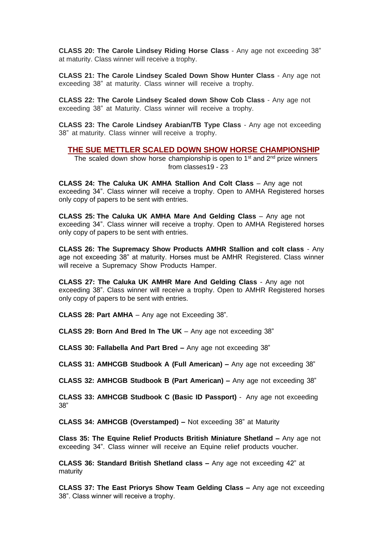**CLASS 20: The Carole Lindsey Riding Horse Class** - Any age not exceeding 38" at maturity. Class winner will receive a trophy.

**CLASS 21: The Carole Lindsey Scaled Down Show Hunter Class** - Any age not exceeding 38" at maturity. Class winner will receive a trophy.

**CLASS 22: The Carole Lindsey Scaled down Show Cob Class** - Any age not exceeding 38" at Maturity. Class winner will receive a trophy.

**CLASS 23: The Carole Lindsey Arabian/TB Type Class** - Any age not exceeding 38" at maturity. Class winner will receive a trophy.

**THE SUE METTLER SCALED DOWN SHOW HORSE CHAMPIONSHIP**

The scaled down show horse championship is open to 1<sup>st</sup> and 2<sup>nd</sup> prize winners from classes19 - 23

**CLASS 24: The Caluka UK AMHA Stallion And Colt Class** – Any age not exceeding 34". Class winner will receive a trophy. Open to AMHA Registered horses only copy of papers to be sent with entries.

**CLASS 25: The Caluka UK AMHA Mare And Gelding Class** – Any age not exceeding 34". Class winner will receive a trophy. Open to AMHA Registered horses only copy of papers to be sent with entries.

**CLASS 26: The Supremacy Show Products AMHR Stallion and colt class** - Any age not exceeding 38" at maturity. Horses must be AMHR Registered. Class winner will receive a Supremacy Show Products Hamper.

**CLASS 27: The Caluka UK AMHR Mare And Gelding Class** - Any age not exceeding 38". Class winner will receive a trophy. Open to AMHR Registered horses only copy of papers to be sent with entries.

**CLASS 28: Part AMHA** – Any age not Exceeding 38".

**CLASS 29: Born And Bred In The UK** – Any age not exceeding 38"

**CLASS 30: Fallabella And Part Bred –** Any age not exceeding 38"

**CLASS 31: AMHCGB Studbook A (Full American) –** Any age not exceeding 38"

**CLASS 32: AMHCGB Studbook B (Part American) –** Any age not exceeding 38"

**CLASS 33: AMHCGB Studbook C (Basic ID Passport)** - Any age not exceeding 38"

**CLASS 34: AMHCGB (Overstamped) –** Not exceeding 38" at Maturity

**Class 35: The Equine Relief Products British Miniature Shetland –** Any age not exceeding 34". Class winner will receive an Equine relief products voucher.

**CLASS 36: Standard British Shetland class –** Any age not exceeding 42" at maturity

**CLASS 37: The East Priorys Show Team Gelding Class –** Any age not exceeding 38". Class winner will receive a trophy.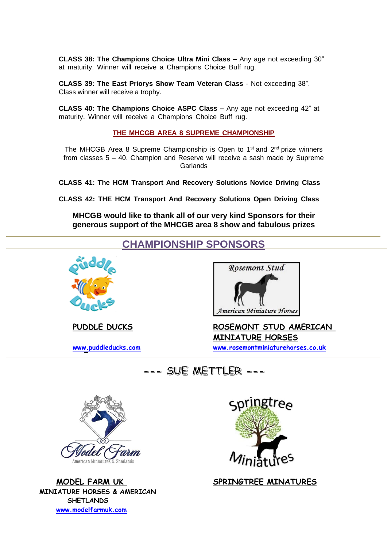**CLASS 38: The Champions Choice Ultra Mini Class –** Any age not exceeding 30" at maturity. Winner will receive a Champions Choice Buff rug.

**CLASS 39: The East Priorys Show Team Veteran Class** - Not exceeding 38". Class winner will receive a trophy.

**CLASS 40: The Champions Choice ASPC Class –** Any age not exceeding 42" at maturity. Winner will receive a Champions Choice Buff rug.

**THE MHCGB AREA 8 SUPREME CHAMPIONSHIP**

The MHCGB Area 8 Supreme Championship is Open to 1<sup>st</sup> and 2<sup>nd</sup> prize winners from classes 5 – 40. Champion and Reserve will receive a sash made by Supreme **Garlands** 

**CLASS 41: The HCM Transport And Recovery Solutions Novice Driving Class** 

**CLASS 42: THE HCM Transport And Recovery Solutions Open Driving Class**

**MHCGB would like to thank all of our very kind Sponsors for their generous support of the MHCGB area 8 show and fabulous prizes** 

## **CHAMPIONSHIP SPONSORS**





**PUDDLE DUCKS ROSEMONT STUD AMERICAN MINIATURE HORSES [www.puddleducks.com](http://www.puddleducks.com/) [www.rosemontminiaturehorses.co.uk](http://www.rosemontminiaturehorses.co.uk/)** 





**MINIATURE HORSES & AMERICAN SHETLANDS [www.modelfarmuk.com](http://www.modelfarmuk.com/)**



 **MODEL FARM UK SPRINGTREE MINATURES**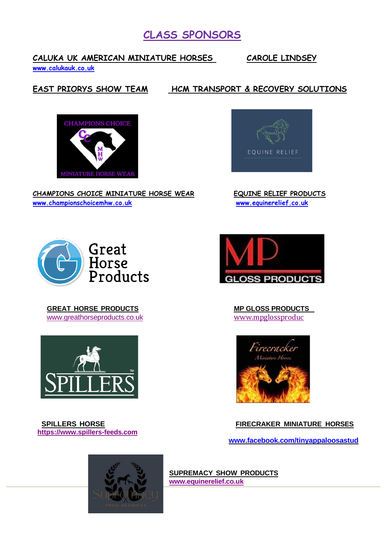# **CLASS SPONSORS**

## **CALUKA UK AMERICAN MINIATURE HORSES CAROLE LINDSEY**

**[www.calukauk.co.uk](http://www.calukauk.co.uk/)**

## **EAST PRIORYS SHOW TEAM HCM TRANSPORT & RECOVERY SOLUTIONS**



**CHAMPIONS CHOICE MINIATURE HORSE WEAR EQUINE RELIEF PRODUCTS [www.championschoicemhw.co.uk](http://www.championschoicemhw.co.uk/) [www.equinerelief.co.uk](http://www.equinerelief.co.uk/)**





 **GREAT HORSE PRODUCTS MP GLOSS PRODUCTS**  [www.greathorseproducts.co.uk](http://www.greathorseproducts.co.uk/)



 **https[://www.spillers-feeds.com](http://www.spillers-feeds.com/)**





 **SPILLERS HORSE FIRECRAKER MINIATURE HORSES**

 **[www.facebook.com/tinyappaloosastud](http://www.facebook.com/tinyappaloosastud)**



**SUPREMACY SHOW PRODUCTS [www.equinerelief.co.uk](http://www.equinerelief.co.uk/)**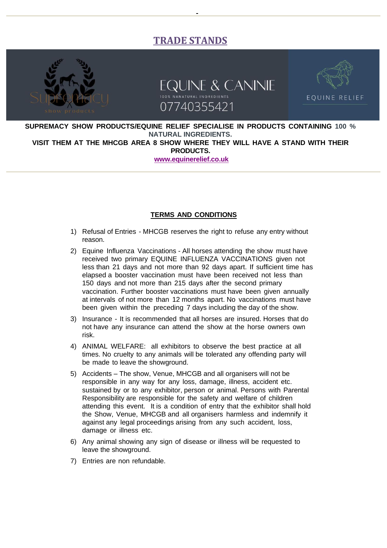## **TRADE STANDS**







**SUPREMACY SHOW PRODUCTS/EQUINE RELIEF SPECIALISE IN PRODUCTS CONTAINING 100 % NATURAL INGREDIENTS. VISIT THEM AT THE MHCGB AREA 8 SHOW WHERE THEY WILL HAVE A STAND WITH THEIR PRODUCTS.**

**[www.equinerelief.co.uk](http://www.equinerelief.co.uk/)**

#### **TERMS AND CONDITIONS**

- 1) Refusal of Entries MHCGB reserves the right to refuse any entry without reason.
- 2) Equine Influenza Vaccinations All horses attending the show must have received two primary EQUINE INFLUENZA VACCINATIONS given not less than 21 days and not more than 92 days apart. If sufficient time has elapsed a booster vaccination must have been received not less than 150 days and not more than 215 days after the second primary vaccination. Further booster vaccinations must have been given annually at intervals of not more than 12 months apart. No vaccinations must have been given within the preceding 7 days including the day of the show.
- 3) Insurance It is recommended that all horses are insured. Horses that do not have any insurance can attend the show at the horse owners own risk.
- 4) ANIMAL WELFARE: all exhibitors to observe the best practice at all times. No cruelty to any animals will be tolerated any offending party will be made to leave the showground.
- 5) Accidents The show, Venue, MHCGB and all organisers will not be responsible in any way for any loss, damage, illness, accident etc. sustained by or to any exhibitor, person or animal. Persons with Parental Responsibility are responsible for the safety and welfare of children attending this event. It is a condition of entry that the exhibitor shall hold the Show, Venue, MHCGB and all organisers harmless and indemnify it against any legal proceedings arising from any such accident, loss, damage or illness etc.
- 6) Any animal showing any sign of disease or illness will be requested to leave the showground.
- 7) Entries are non refundable.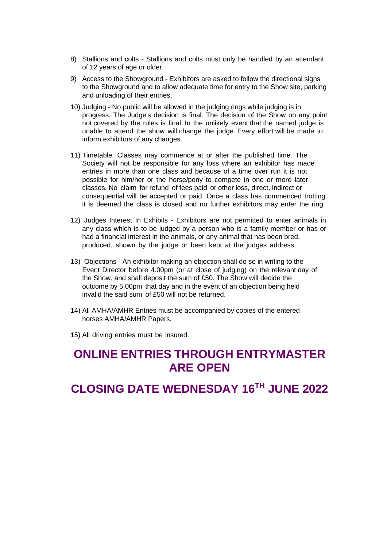- 8) Stallions and colts Stallions and colts must only be handled by an attendant of 12 years of age or older.
- 9) Access to the Showground Exhibitors are asked to follow the directional signs to the Showground and to allow adequate time for entry to the Show site, parking and unloading of their entries.
- 10) Judging No public will be allowed in the judging rings while judging is in progress. The Judge's decision is final. The decision of the Show on any point not covered by the rules is final. In the unlikely event that the named judge is unable to attend the show will change the judge. Every effort will be made to inform exhibitors of any changes.
- 11) Timetable. Classes may commence at or after the published time. The Society will not be responsible for any loss where an exhibitor has made entries in more than one class and because of a time over run it is not possible for him/her or the horse/pony to compete in one or more later classes. No claim for refund of fees paid or other loss, direct, indirect or consequential will be accepted or paid. Once a class has commenced trotting it is deemed the class is closed and no further exhibitors may enter the ring.
- 12) Judges Interest In Exhibits Exhibitors are not permitted to enter animals in any class which is to be judged by a person who is a family member or has or had a financial interest in the animals, or any animal that has been bred, produced, shown by the judge or been kept at the judges address.
- 13) Objections An exhibitor making an objection shall do so in writing to the Event Director before 4.00pm (or at close of judging) on the relevant day of the Show, and shall deposit the sum of £50. The Show will decide the outcome by 5.00pm that day and in the event of an objection being held invalid the said sum of £50 will not be returned.
- 14) All AMHA/AMHR Entries must be accompanied by copies of the entered horses AMHA/AMHR Papers.

15) All driving entries must be insured.

# **ONLINE ENTRIES THROUGH ENTRYMASTER ARE OPEN**

**CLOSING DATE WEDNESDAY 16TH JUNE 2022**